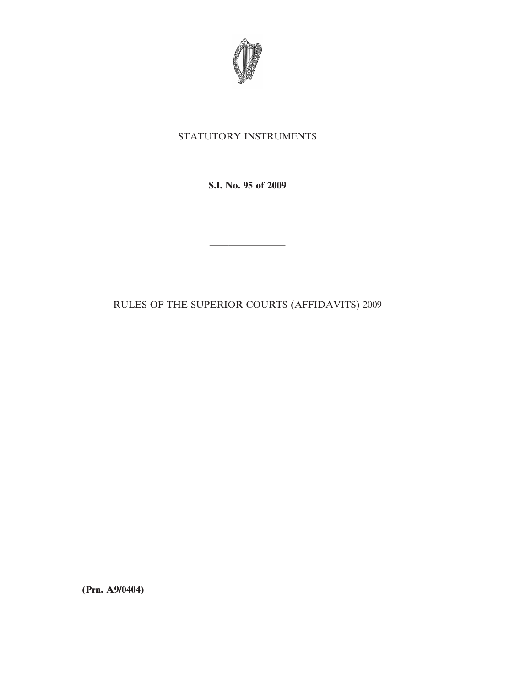

## STATUTORY INSTRUMENTS

**S.I. No. 95 of 2009**

————————

RULES OF THE SUPERIOR COURTS (AFFIDAVITS) 2009

**(Prn. A9/0404)**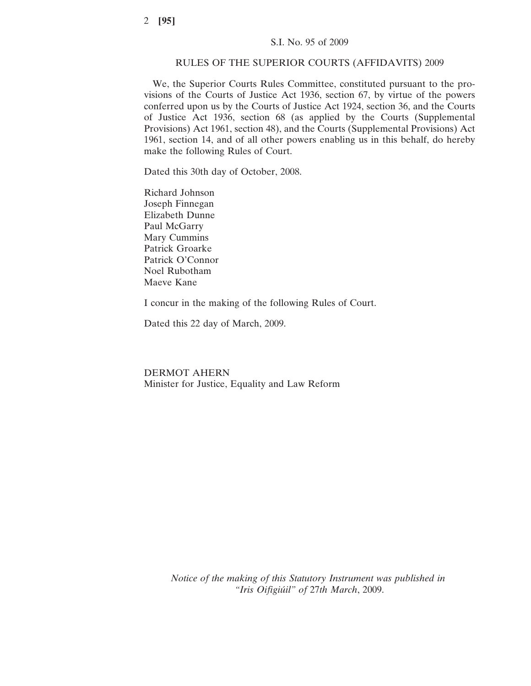## RULES OF THE SUPERIOR COURTS (AFFIDAVITS) 2009

We, the Superior Courts Rules Committee, constituted pursuant to the provisions of the Courts of Justice Act 1936, section 67, by virtue of the powers conferred upon us by the Courts of Justice Act 1924, section 36, and the Courts of Justice Act 1936, section 68 (as applied by the Courts (Supplemental Provisions) Act 1961, section 48), and the Courts (Supplemental Provisions) Act 1961, section 14, and of all other powers enabling us in this behalf, do hereby make the following Rules of Court.

Dated this 30th day of October, 2008.

Richard Johnson Joseph Finnegan Elizabeth Dunne Paul McGarry Mary Cummins Patrick Groarke Patrick O'Connor Noel Rubotham Maeve Kane

I concur in the making of the following Rules of Court.

Dated this 22 day of March, 2009.

DERMOT AHERN Minister for Justice, Equality and Law Reform

> *Notice of the making of this Statutory Instrument was published in "Iris Oifigiu´il" of* 27*th March*, 2009.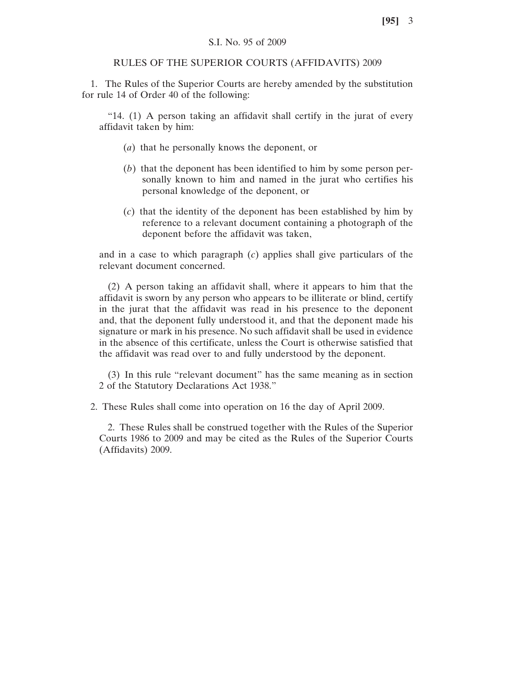## S.I. No. 95 of 2009

## RULES OF THE SUPERIOR COURTS (AFFIDAVITS) 2009

1. The Rules of the Superior Courts are hereby amended by the substitution for rule 14 of Order 40 of the following:

"14. (1) A person taking an affidavit shall certify in the jurat of every affidavit taken by him:

- (*a*) that he personally knows the deponent, or
- (*b*) that the deponent has been identified to him by some person personally known to him and named in the jurat who certifies his personal knowledge of the deponent, or
- (*c*) that the identity of the deponent has been established by him by reference to a relevant document containing a photograph of the deponent before the affidavit was taken,

and in a case to which paragraph (*c*) applies shall give particulars of the relevant document concerned.

(2) A person taking an affidavit shall, where it appears to him that the affidavit is sworn by any person who appears to be illiterate or blind, certify in the jurat that the affidavit was read in his presence to the deponent and, that the deponent fully understood it, and that the deponent made his signature or mark in his presence. No such affidavit shall be used in evidence in the absence of this certificate, unless the Court is otherwise satisfied that the affidavit was read over to and fully understood by the deponent.

(3) In this rule "relevant document" has the same meaning as in section 2 of the Statutory Declarations Act 1938."

2. These Rules shall come into operation on 16 the day of April 2009.

2. These Rules shall be construed together with the Rules of the Superior Courts 1986 to 2009 and may be cited as the Rules of the Superior Courts (Affidavits) 2009.